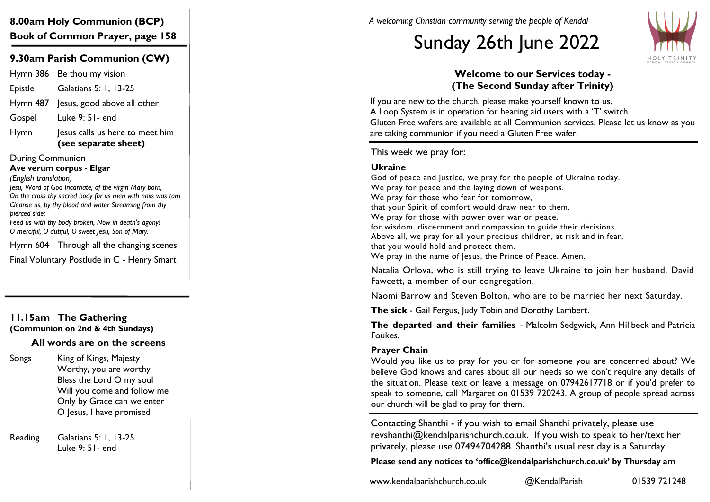# **8.00am Holy Communion (BCP) Book of Common Prayer, page 158**

## **9.30am Parish Communion (CW)**

Hymn 386 Be thou my vision Epistle Galatians 5: 1, 13 -25 Hymn 487 Jesus, good above all other Gospel Luke 9: 51 - end

Hymn lesus calls us here to meet him **(see separate sheet)**

During Communion

**Ave verum corpus - Elgar**

*(English translation)*

*Jesu, Word of God Incarnate, of the virgin Mary born, On the cross thy sacred body for us men with nails was torn Cleanse us, by thy blood and water Streaming from thy pierced side; Feed us with thy body broken, Now in death's agony!*

*O merciful, O dutiful, O sweet Jesu, Son of Mary.*

Hymn 604 Through all the changing scenes

Final Voluntary Postlude in C - Henry Smart

#### **11.15am The Gathering (Communion on 2nd & 4th Sundays)**

## **All words are on the screens**

Songs King of Kings, Majesty Worthy, you are worthy Bless the Lord O my soul Will you come and follow me Only by Grace can we enter O Jesus, I have promised

Reading Galatians 5: 1, 13 -25 Luke 9: 51 - end

*A welcoming Christian community serving the people of Kendal*

# Sunday 26th June 2022



## **Welcome to our Services today - (The Second Sunday after Trinity)**

If you are new to the church, please make yourself known to us. A Loop System is in operation for hearing aid users with a 'T' switch. Gluten Free wafers are available at all Communion services. Please let us know as you are taking communion if you need a Gluten Free wafer.

This week we pray for:

#### **Ukraine**

God of peace and justice, we pray for the people of Ukraine today. We pray for peace and the laying down of weapons. We pray for those who fear for tomorrow, that your Spirit of comfort would draw near to them. We pray for those with power over war or peace, for wisdom, discernment and compassion to guide their decisions. Above all, we pray for all your precious children, at risk and in fear, that you would hold and protect them. We pray in the name of Jesus, the Prince of Peace. Amen.

Natalia Orlova, who is still trying to leave Ukraine to join her husband, David Fawcett, a member of our congregation.

Naomi Barrow and Steven Bolton, who are to be married her next Saturday.

**The sick**  - Gail Fergus, Judy Tobin and Dorothy Lambert.

**The departed and their families**  - Malcolm Sedgwick, Ann Hillbeck and Patricia Foukes.

#### **Prayer Chain**

Would you like us to pray for you or for someone you are concerned about? We believe God knows and cares about all our needs so we don't require any details of the situation. Please text or leave a message on 07942617718 or if you'd prefer to speak to someone, call Margaret on 01539 720243. A group of people spread across our church will be glad to pray for them.

Contacting Shanthi - if you wish to email Shanthi privately, please use revshanthi@kendalparishchurch.co.uk. If you wish to speak to her/text her privately, please use 07494704288. Shanthi's usual rest day is a Saturday.

**Please send any notices to '[office@kendalparishchurch.co.uk'](mailto:office@kendalparishchurch.co.uk) by Thursday am**

[www.kendalparishchurch.co.uk](http://www.kendalparishchurch.co.uk) @KendalParish 01539 721248